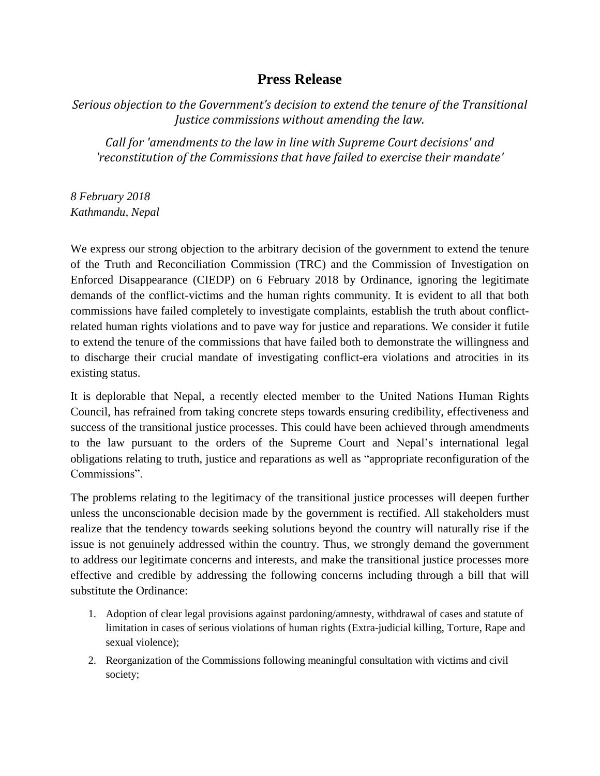## **Press Release**

*Serious objection to the Government's decision to extend the tenure of the Transitional Justice commissions without amending the law.* 

*Call for 'amendments to the law in line with Supreme Court decisions' and 'reconstitution of the Commissions that have failed to exercise their mandate'* 

*8 February 2018 Kathmandu, Nepal* 

We express our strong objection to the arbitrary decision of the government to extend the tenure of the Truth and Reconciliation Commission (TRC) and the Commission of Investigation on Enforced Disappearance (CIEDP) on 6 February 2018 by Ordinance, ignoring the legitimate demands of the conflict-victims and the human rights community. It is evident to all that both commissions have failed completely to investigate complaints, establish the truth about conflictrelated human rights violations and to pave way for justice and reparations. We consider it futile to extend the tenure of the commissions that have failed both to demonstrate the willingness and to discharge their crucial mandate of investigating conflict-era violations and atrocities in its existing status.

It is deplorable that Nepal, a recently elected member to the United Nations Human Rights Council, has refrained from taking concrete steps towards ensuring credibility, effectiveness and success of the transitional justice processes. This could have been achieved through amendments to the law pursuant to the orders of the Supreme Court and Nepal's international legal obligations relating to truth, justice and reparations as well as "appropriate reconfiguration of the Commissions".

The problems relating to the legitimacy of the transitional justice processes will deepen further unless the unconscionable decision made by the government is rectified. All stakeholders must realize that the tendency towards seeking solutions beyond the country will naturally rise if the issue is not genuinely addressed within the country. Thus, we strongly demand the government to address our legitimate concerns and interests, and make the transitional justice processes more effective and credible by addressing the following concerns including through a bill that will substitute the Ordinance:

- 1. Adoption of clear legal provisions against pardoning/amnesty, withdrawal of cases and statute of limitation in cases of serious violations of human rights (Extra-judicial killing, Torture, Rape and sexual violence);
- 2. Reorganization of the Commissions following meaningful consultation with victims and civil society;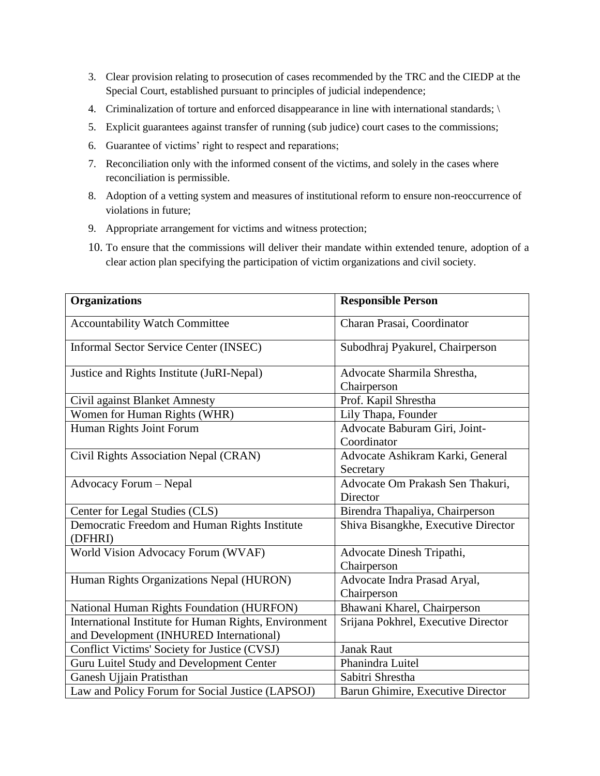- 3. Clear provision relating to prosecution of cases recommended by the TRC and the CIEDP at the Special Court, established pursuant to principles of judicial independence;
- 4. Criminalization of torture and enforced disappearance in line with international standards; \
- 5. Explicit guarantees against transfer of running (sub judice) court cases to the commissions;
- 6. Guarantee of victims' right to respect and reparations;
- 7. Reconciliation only with the informed consent of the victims, and solely in the cases where reconciliation is permissible.
- 8. Adoption of a vetting system and measures of institutional reform to ensure non-reoccurrence of violations in future;
- 9. Appropriate arrangement for victims and witness protection;
- 10. To ensure that the commissions will deliver their mandate within extended tenure, adoption of a clear action plan specifying the participation of victim organizations and civil society.

| <b>Organizations</b>                                     | <b>Responsible Person</b>           |
|----------------------------------------------------------|-------------------------------------|
| <b>Accountability Watch Committee</b>                    | Charan Prasai, Coordinator          |
| <b>Informal Sector Service Center (INSEC)</b>            | Subodhraj Pyakurel, Chairperson     |
| Justice and Rights Institute (JuRI-Nepal)                | Advocate Sharmila Shrestha,         |
|                                                          | Chairperson                         |
| Civil against Blanket Amnesty                            | Prof. Kapil Shrestha                |
| Women for Human Rights (WHR)                             | Lily Thapa, Founder                 |
| Human Rights Joint Forum                                 | Advocate Baburam Giri, Joint-       |
|                                                          | Coordinator                         |
| Civil Rights Association Nepal (CRAN)                    | Advocate Ashikram Karki, General    |
|                                                          | Secretary                           |
| Advocacy Forum - Nepal                                   | Advocate Om Prakash Sen Thakuri,    |
|                                                          | Director                            |
| Center for Legal Studies (CLS)                           | Birendra Thapaliya, Chairperson     |
| Democratic Freedom and Human Rights Institute<br>(DFHRI) | Shiva Bisangkhe, Executive Director |
| World Vision Advocacy Forum (WVAF)                       | Advocate Dinesh Tripathi,           |
|                                                          | Chairperson                         |
| Human Rights Organizations Nepal (HURON)                 | Advocate Indra Prasad Aryal,        |
|                                                          | Chairperson                         |
| National Human Rights Foundation (HURFON)                | Bhawani Kharel, Chairperson         |
| International Institute for Human Rights, Environment    | Srijana Pokhrel, Executive Director |
| and Development (INHURED International)                  |                                     |
| Conflict Victims' Society for Justice (CVSJ)             | <b>Janak Raut</b>                   |
| Guru Luitel Study and Development Center                 | Phanindra Luitel                    |
| Ganesh Ujjain Pratisthan                                 | Sabitri Shrestha                    |
| Law and Policy Forum for Social Justice (LAPSOJ)         | Barun Ghimire, Executive Director   |